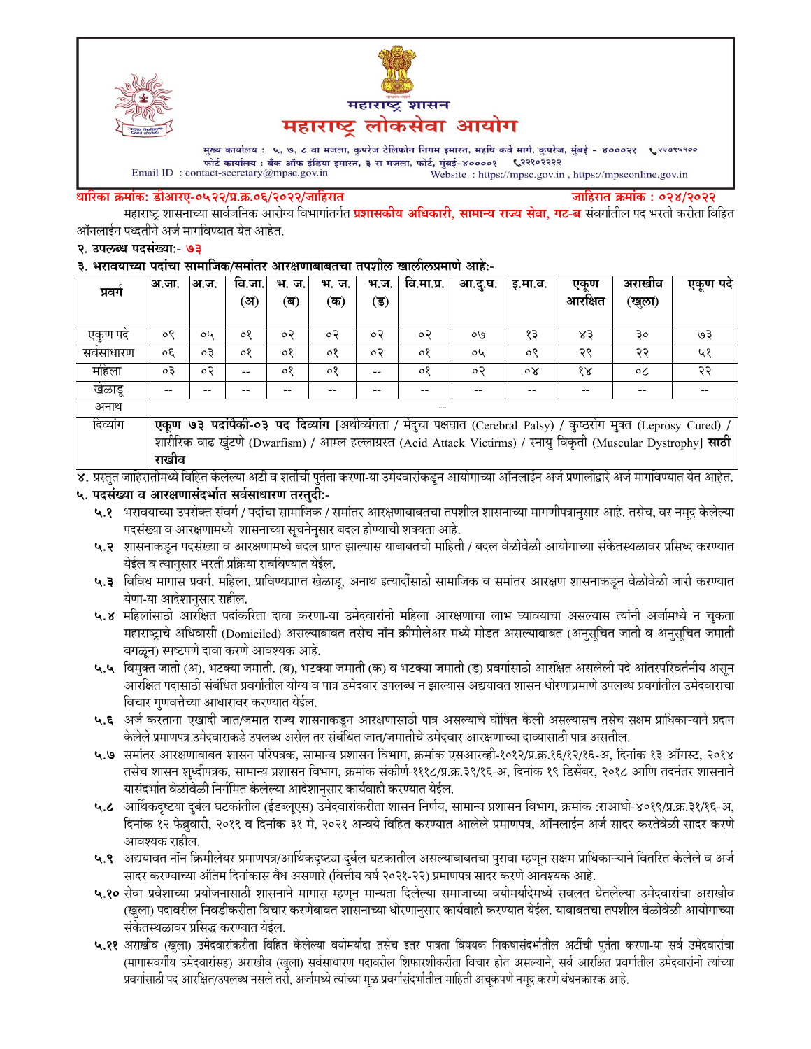



मुख्य कार्यालय : ५, ७, ८ वा मजला, कुपरेज टेलिफोन निगम इमारत, महर्षि कर्वे मार्ग, कुपरेज, मुंबई - ४०००२१ ९२९७९५९०० फोर्ट कार्यालय : बँक ऑफ इंडिया इमारत, ३ रा मजला, फोर्ट, मुंबई-४००००१ ९२१०२२२२ Email ID: contact-secretary@mpsc.gov.in Website: https://mpsc.gov.in, https://mpsconline.gov.in

#### धारिका क्रमांक: डीआरए-०५२२/प्र.क्र.०६/२०२२/जाहिरात

जाहिरात क्रमांक : ०२४/२०२२

महाराष्ट्र शासनाच्या सार्वजनिक आरोग्य विभागांतर्गत **प्रशासकीय अधिकारी, सामान्य राज्य सेवा, गट-ब** संवर्गातील पद भरती करीता विहित ऑनलाईन पध्दतीने अर्ज मार्गावण्यात येत आहेत.

#### २. उपलब्ध पदसंख्या:- ७३

#### ३. भरावयाच्या पदांचा सामाजिक/समांतर आरक्षणाबाबतचा तपशील खालीलप्रमाणे आहे:-

| प्रवग    | अ.जा.                                                                                                             | अ.ज.      | वि.जा. | भ. ज.   | भ.<br>ज. | भ.ज. | वि.मा.प्र. | आ.दू.घ. | इ.मा.व. | एकूण                 | अराखाव  | एकूण पदे |
|----------|-------------------------------------------------------------------------------------------------------------------|-----------|--------|---------|----------|------|------------|---------|---------|----------------------|---------|----------|
|          |                                                                                                                   |           | (अ)    | (ब)     | (क)      | (ड)  |            |         |         | आरक्षित              | (खुला)  |          |
|          |                                                                                                                   |           |        |         |          |      |            |         |         |                      |         |          |
| एकण पद   | ०९                                                                                                                | oh        | ०१     | o२      | o२       | ०२   | $\circ$    | O(9)    | १३      | ४३                   | Зo      | ७३       |
| सवसाधारण | oξ                                                                                                                | $\circ$ 3 | ०१     | $\circ$ | ०१       | ०२   | ०१         | oh      | ०९      | २९                   | २२      | ५१       |
| महिला    | oЗ                                                                                                                | $\circ$   | --     | $\circ$ | $\circ$  |      | ०१         | ०२      | οY      | $\delta \mathcal{R}$ | $\circ$ | २२       |
| खेळाडू   | --                                                                                                                |           |        |         |          |      |            | --      |         | --                   | --      |          |
| अनाथ     |                                                                                                                   |           |        |         |          |      |            |         |         |                      |         |          |
| दिव्यांग | एकूण ७३ पदांपैकी-०३ पद दिव्यांग [अथीव्यंगता / मेंदुचा पक्षघात (Cerebral Palsy) / कुष्ठरोग मुक्त (Leprosy Cured) / |           |        |         |          |      |            |         |         |                      |         |          |
|          | शारीरिक वाढ खुंटणे (Dwarfism) / आम्ल हल्लाग्रस्त (Acid Attack Victirms) / स्नायु विकृती (Muscular Dystrophy] साठी |           |        |         |          |      |            |         |         |                      |         |          |
|          | राखीव                                                                                                             |           |        |         |          |      |            |         |         |                      |         |          |

४. प्रस्तुत जाहिरातीमध्ये विहित केलेल्या अटी व शर्तीची पुर्तता करणा-या उमेदवारांकडून आयोगाच्या ऑनलाईन अर्ज प्रणालीद्वारे अर्ज मार्गावण्यात येत आहेत.

### ५. पदसंख्या व आरक्षणासंदर्भात सर्वसाधारण तरतुदी:-

- ५.१ भरावयाच्या उपरोक्त संवर्ग / पदांचा सामाजिक / समांतर आरक्षणाबाबतचा तपशील शासनाच्या मागणीपत्रानुसार आहे. तसेच, वर नमूद केलेल्या पदसंख्या व आरक्षणामध्ये शासनाच्या सूचनेनुसार बदल होण्याची शक्यता आहे.
- ५.२ शासनाकडून पदसंख्या व आरक्षणामध्ये बदल प्राप्त झाल्यास याबाबतची माहिती / बदल वेळोवेळी आयोगाच्या संकेतस्थळावर प्रसिध्द करण्यात येईल व त्यानुसार भरती प्रक्रिया राबविण्यात येईल.
- ५.३ विविध मागास प्रवर्ग, महिला, प्राविण्यप्राप्त खेळाडू, अनाथ इत्यादीसाठी सामाजिक व समांतर आरक्षण शासनाकडून वेळोवेळी जारी करण्यात येणा-या आदेशानुसार राहील.
- ५.४ महिलांसाठी आरक्षित पदांकरिता दावा करणा-या उमेदवारांनी महिला आरक्षणाचा लाभ घ्यावयाचा असल्यास त्यांनी अर्जामध्ये न चुकता महाराष्ट्राचे अधिवासी (Domiciled) असल्याबाबत तसेच नॉन क्रीमीलेअर मध्ये मोडत असल्याबाबत (अनुसूचित जाती व अनुसूचित जमाती वगळून) स्पष्टपणे दावा करणे आवश्यक आहे.
- ५.५ विमुक्त जाती (अ), भटक्या जमाती. (ब), भटक्या जमाती (क) व भटक्या जमाती (ड) प्रवर्गासाठी आरक्षित असलेली पदे आंतरपरिवर्तनीय असून आरक्षित पदासाठी संबंधित प्रवर्गातील योग्य व पात्र उमेदवार उपलब्ध न झाल्यास अद्ययावत शासन धोरणाप्रमाणे उपलब्ध प्रवर्गातील उमेदवाराचा विचार गुणवत्तेच्या आधारावर करण्यात येईल.
- ५.६ अर्ज करताना एखादी जात/जमात राज्य शासनाकडून आरक्षणासाठी पात्र असल्याचे घोषित केली असल्यासच तसेच सक्षम प्राधिकाऱ्याने प्रदान केलेले प्रमाणपत्र उमेदवाराकडे उपलब्ध असेल तर संबंधित जात/जमातीचे उमेदवार आरक्षणाच्या दाव्यासाठी पात्र असतील.
- ५.७ समांतर आरक्षणाबाबत शासन परिपत्रक, सामान्य प्रशासन विभाग, क्रमांक एसआरव्ही-१०१२/प्र.क्र.१६/१२/१६-अ, दिनांक १३ ऑगस्ट, २०१४ तसेच शासन शुध्दीपत्रक, सामान्य प्रशासन विभाग, क्रमांक संकीर्ण-१११८/प्र.क्र.३९/१६-अ, दिनांक १९ डिसेंबर, २०१८ आणि तदनंतर शासनाने यासंदर्भात वेळोवेळी निर्गमित केलेल्या आदेशानुसार कार्यवाही करण्यात येईल.
- ५.८ आर्थिकदृष्टया दुर्बल घटकांतील (ईडब्लूएस) उमेदवारांकरीता शासन निर्णय, सामान्य प्रशासन विभाग, क्रमांक :राआधो-४०१९/प्र.क्र.३१/१६-अ, दिनांक १२ फेब्रुवारी, २०१९ व दिनांक ३१ मे, २०२१ अन्वये विहित करण्यात आलेले प्रमाणपत्र, ऑनलाईन अर्ज सादर करतेवेळी सादर करणे आवश्यक राहील.
- ५.९ अद्ययावत नॉन क्रिमीलेयर प्रमाणपत्र/आर्थिकदृष्ट्या दुर्बल घटकातील असल्याबाबतचा पुरावा म्हणून सक्षम प्राधिकाऱ्याने वितरित केलेले व अर्ज सादर करण्याच्या अंतिम दिनांकास वैध असणारे (वित्तीय वर्ष २०२१-२२) प्रमाणपत्र सादर करणे आवश्यक आहे.
- ५.१० सेवा प्रवेशाच्या प्रयोजनासाठी शासनाने मागास म्हणून मान्यता दिलेल्या समाजाच्या वयोमर्यादेमध्ये सवलत घेतलेल्या उमेदवारांचा अराखीव (खुला) पदावरील निवडीकरीता विचार करणेबाबत शासनाच्या धोरणानुसार कार्यवाही करण्यात येईल. याबाबतचा तपशील वेळोवेळी आयोगाच्या संकेतस्थळावर प्रसिद्ध करण्यात येईल.
- ५.११ अराखीव (खुला) उमेदवारांकरीता विहित केलेल्या वयोमर्यादा तसेच इतर पात्रता विषयक निकषासंदर्भातील अटींची पुर्तता करणा-या सर्व उमेदवारांचा (मागासवर्गीय उमेदवारांसह) अराखीव (खुला) सर्वसाधारण पदावरील शिफारशीकरीता विचार होत असल्याने, सर्व आरक्षित प्रवर्गातील उमेदवारांनी त्यांच्या प्रवर्गासाठी पद आरक्षित/उपलब्ध नसले तरी, अर्जामध्ये त्यांच्या मुळ प्रवर्गासंदर्भातील माहिती अचुकपणे नमुद करणे बंधनकारक आहे.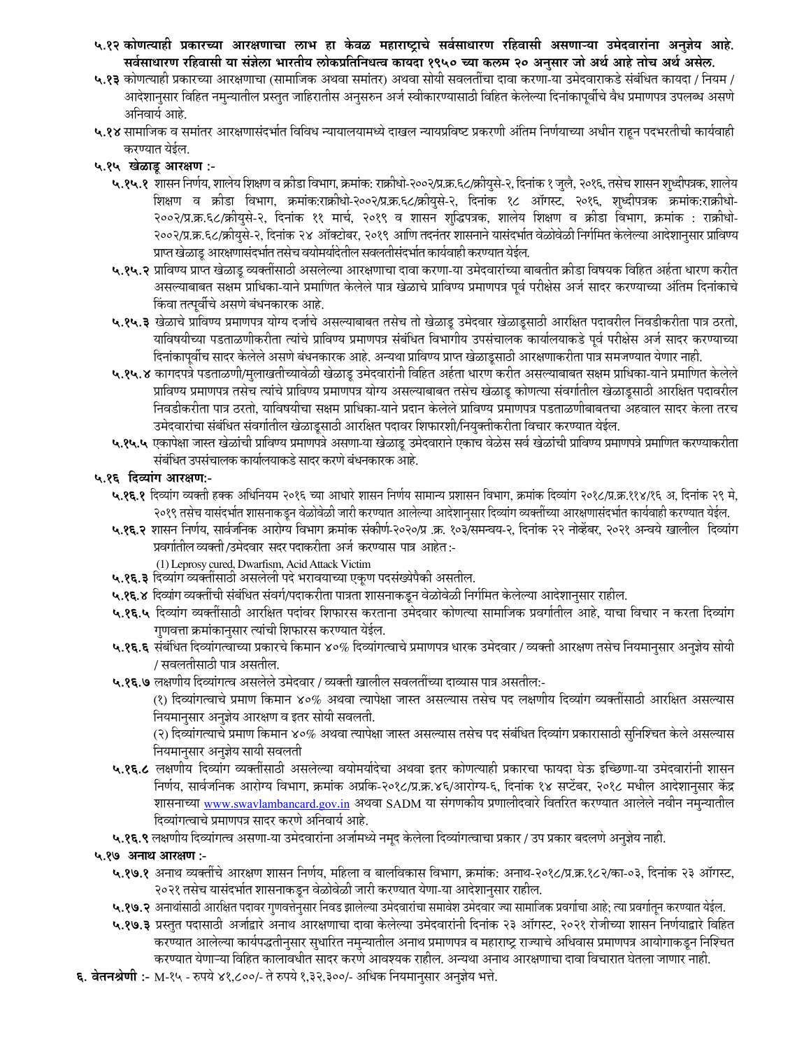- ५.१२ कोणत्याही प्रकारच्या आरक्षणाचा लाभ हा केवळ महाराष्ट्राचे सर्वसाधारण रहिवासी असणाऱ्या उमेदवारांना अनुज्ञेय आहे. सर्वसाधारण रहिवासी या संज्ञेला भारतीय लोकप्रतिनिधत्व कायदा १९५० च्या कलम २० अनुसार जो अर्थ आहे तोच अर्थ असेल.
- ५.१३ कोणत्याही प्रकारच्या आरक्षणाचा (सामाजिक अथवा समांतर) अथवा सोयी सवलतींचा दावा करणा-या उमेदवाराकडे संबंधित कायदा / नियम / आदेशानुसार विहित नमुन्यातील प्रस्तुत जाहिरातीस अनुसरुन अर्ज स्वीकारण्यासाठी विहित केलेल्या दिनांकापूर्वीचे वैध प्रमाणपत्र उपलब्ध असणे अनिवार्य आहे.
- ५.१४ सामाजिक व समांतर आरक्षणासंदर्भात विविध न्यायालयामध्ये दाखल न्यायप्रविष्ट प्रकरणी अंतिम निर्णयाच्या अधीन राहून पदभरतीची कार्यवाही करण्यात येईल.

### ५.१५ खेळाडू आरक्षण :-

- ५.१५.१ शासन निर्णय, शालेय शिक्षण व क्रीडा विभाग, क्रमांक: राक्रीधो-२००२/प्र.क्र.६८/क्रीयुसे-२, दिनांक १ जुलै, २०१६, तसेच शासन शुध्दीपत्रक, शालेय शिक्षण व क्रीडा विभाग, क्रमांक:राक्रीधो-२००२/प्र.क.६८/क्रीयुसे-२, दिनांक १८ ऑगस्ट, २०१६, शुध्दीपत्रक क्रमांक:राक्रीधो-२००२/प्र.क्र.६८/क्रीयुसे-२, दिनांक ११ मार्च, २०१९ व शासन शुद्धिपत्रक, शालेय शिक्षण व क्रीडा विभाग, क्रमांक : राक्रीधो-२००२/प्र.क्र.६८/क्रीयुसे-२, दिनांक २४ ऑक्टोबर, २०१९ आणि तदनंतर शासनाने यासंदर्भात वेळोवेळी निर्गमित केलेल्या आदेशानुसार प्राविण्य प्राप्त खेळाडू आरक्षणासंदर्भात तसेच वयोमर्यादेतील सवलतीसंदर्भात कार्यवाही करण्यात येईल.
- ५.१५.२ प्राविण्य प्राप्त खेळाडू व्यक्तींसाठी असलेल्या आरक्षणाचा दावा करणा-या उमेदवारांच्या बाबतीत क्रीडा विषयक विहित अर्हता धारण करीत असल्याबाबत सक्षम प्राधिका-याने प्रमाणित केलेले पात्र खेळाचे प्राविण्य प्रमाणपत्र पूर्व परीक्षेस अर्ज सादर करण्याच्या अंतिम दिनांकाचे किंवा तत्पूर्वीचे असणे बंधनकारक आहे.
- ५.१५.३ खेळाचे प्राविण्य प्रमाणपत्र योग्य दर्जाचे असल्याबाबत तसेच तो खेळाडू उमेदवार खेळाडूसाठी आरक्षित पदावरील निवडीकरीता पात्र ठरतो, याविषयीच्या पडताळणीकरीता त्यांचे प्राविण्य प्रमाणपत्र संबंधित विभागीय उपसंचालक कार्यालयाकडे पूर्व परीक्षेस अर्ज सादर करण्याच्या दिनांकापूर्वीच सादर केलेले असणे बंधनकारक आहे. अन्यथा प्राविण्य प्राप्त खेळाडूसाठी आरक्षणाकरीता पात्र समजण्यात येणार नाही.
- ५.१५.४ कागदपत्रे पडताळणी/मुलाखतीच्यावेळी खेळाडू उमेदवारांनी विहित अर्हता धारण करीत असल्याबाबत सक्षम प्राधिका-याने प्रमाणित केलेले प्राविण्य प्रमाणपत्र तसेच त्यांचे प्राविण्य प्रमाणपत्र योग्य असल्याबाबत तसेच खेळाडू कोणत्या संवर्गातील खेळाडूसाठी आरक्षित पदावरील निवडीकरीता पात्र ठरतो, याविषयीचा सक्षम प्राधिका-याने प्रदान केलेले प्राविण्य प्रमाणपत्र पडताळणीबाबतचा अहवाल सादर केला तरच उमेदवारांचा संबंधित संवर्गातील खेळाडूसाठी आरक्षित पदावर शिफारशी/नियुक्तीकरीता विचार करण्यात येईल.
- ५.१५.५ एकापेक्षा जास्त खेळांची प्राविण्य प्रमाणपत्रे असणा-या खेळाडू उमेदवाराने एकाच वेळेस सर्व खेळांची प्राविण्य प्रमाणपत्रे प्रमाणित करण्याकरीता संबंधित उपसंचालक कार्यालयाकडे सादर करणे बंधनकारक आहे.

### ५.१६ दिव्यांग आरक्षण:-

- ५.**१६.१** दिव्यांग व्यक्ती हक्क अधिनियम २०१६ च्या आधारे शासन निर्णय सामान्य प्रशासन विभाग, क्रमांक दिव्यांग २०१८/प्र.क्र.११४/१६ अ, दिनांक २९ मे, २०१९ तसेच यासंदर्भात शासनाकडून वेळोवेळी जारी करण्यात आलेल्या आदेशानुसार दिव्यांग व्यक्तींच्या आरक्षणासंदर्भात कार्यवाही करण्यात येईल.
- ५.१६.२ शासन निर्णय, सार्वजनिक आरोग्य विभाग क्रमांक संकीर्ण-२०२०/प्र क्र. १०३/समन्वय-२, दिनांक २२ नोव्हेंबर, २०२१ अन्वये खालील दिव्यांग प्रवर्गातील व्यक्ती/उमेदवार सदर पदाकरीता अर्ज करण्यास पात्र आहेत:-
- (1) Leprosy cured, Dwarfism, Acid Attack Victim ५.१६.३ दिव्यांग व्यक्तींसाठी असलेली पदे भरावयाच्या एकूण पदसंख्येपैकी असतील.
- ५.**१६.४** दिव्यांग व्यक्तींची संबंधित संवर्ग/पदाकरीता पात्रता शासनाकडून वेळोवेळी निर्गमित केलेल्या आदेशानुसार राहील.
- ५.**१६.५** दिव्यांग व्यक्तींसाठी आरक्षित पदांवर शिफारस करताना उमेदवार कोणत्या सामाजिक प्रवर्गातील आहे, याचा विचार न करता दिव्यांग गुणवत्ता क्रमांकानुसार त्यांची शिफारस करण्यात येईल.
- ५.१६.६ संबंधित दिव्यांगत्वाच्या प्रकारचे किमान ४०% दिव्यांगत्वाचे प्रमाणपत्र धारक उमेदवार / व्यक्ती आरक्षण तसेच नियमानुसार अनुज्ञेय सोयी / सवलतीसाठी पात्र असतील.
- ५.१६.७ लक्षणीय दिव्यांगत्व असलेले उमेदवार / व्यक्ती खालील सवलतींच्या दाव्यास पात्र असतील:-

(१) दिव्यांगत्वाचे प्रमाण किमान ४०% अथवा त्यापेक्षा जास्त असल्यास तसेच पद लक्षणीय दिव्यांग व्यक्तींसाठी आरक्षित असल्यास नियमानुसार अनुज्ञेय आरक्षण व इतर सोयी सवलती.

(२) दिव्यांगत्याचे प्रमाण किमान ४०% अथवा त्यापेक्षा जास्त असल्यास तसेच पद संबंधित दिव्यांग प्रकारासाठी सुनिश्चित केले असल्यास नियमानुसार अनुज्ञेय सायी सवलती

- ५.१६.८ लक्षणीय दिव्यांग व्यक्तींसाठी असलेल्या वयोमर्यादेचा अथवा इतर कोणत्याही प्रकारचा फायदा घेऊ इच्छिणा-या उमेदवारांनी शासन निर्णय, सार्वजनिक आरोग्य विभाग, क्रमांक अप्रकि-२०१८/प्र.क्र.४६/आरोग्य-६, दिनांक १४ सप्टेंबर, २०१८ मधील आदेशानुसार केंद्र शासनाच्या www.swavlambancard.gov.in अथवा SADM या संगणकीय प्रणालीदवारे वितरित करण्यात आलेले नवीन नमुन्यातील दिव्यांगत्वाचे प्रमाणपत्र सादर करणे अनिवार्य आहे.
- ५.१६.९ लक्षणीय दिव्यांगत्व असणा-या उमेदवारांना अर्जामध्ये नमूद केलेला दिव्यांगत्वाचा प्रकार / उप प्रकार बदलणे अनुज्ञेय नाही.

### ५.१७ अनाथ आरक्षण :-

- ५.१७.१ अनाथ व्यक्तींचे आरक्षण शासन निर्णय, महिला व बालविकास विभाग, क्रमांक: अनाथ-२०१८/प्र.क्र.१८२/का-०३, दिनांक २३ ऑगस्ट, २०२१ तसेच यासंदर्भात शासनाकडून वेळोवेळी जारी करण्यात येणा-या आदेशानुसार राहील.
- ५.१७.२ अनाथांसाठी आरक्षित पदावर गुणवत्तेनुसार निवड झालेल्या उमेदवारांचा समावेश उमेदवार ज्या सामाजिक प्रवर्गाचा आहे; त्या प्रवर्गातून करण्यात येईल.
- ५.१७.३ प्रस्तुत पदासाठी अर्जाद्वारे अनाथ आरक्षणाचा दावा केलेल्या उमेदवारांनी दिनांक २३ ऑगस्ट, २०२१ रोजीच्या शासन निर्णयाद्वारे विहित करण्यात आलेल्या कार्यपद्धतीनुसार सुधारित नमुन्यातील अनाथ प्रमाणपत्र व महाराष्ट्र राज्याचे अधिवास प्रमाणपत्र आयोगाकडून निश्चित करण्यात येणाऱ्या विहित कालावधीत सादर करणे आवश्यक राहील. अन्यथा अनाथ आरक्षणाचा दावा विचारात घेतला जाणार नाही.
- **६. वेतनश्रेणी :-** M-१५ रुपये ४१,८००/- ते रुपये १,३२,३००/- अधिक नियमानुसार अनुज्ञेय भत्ते.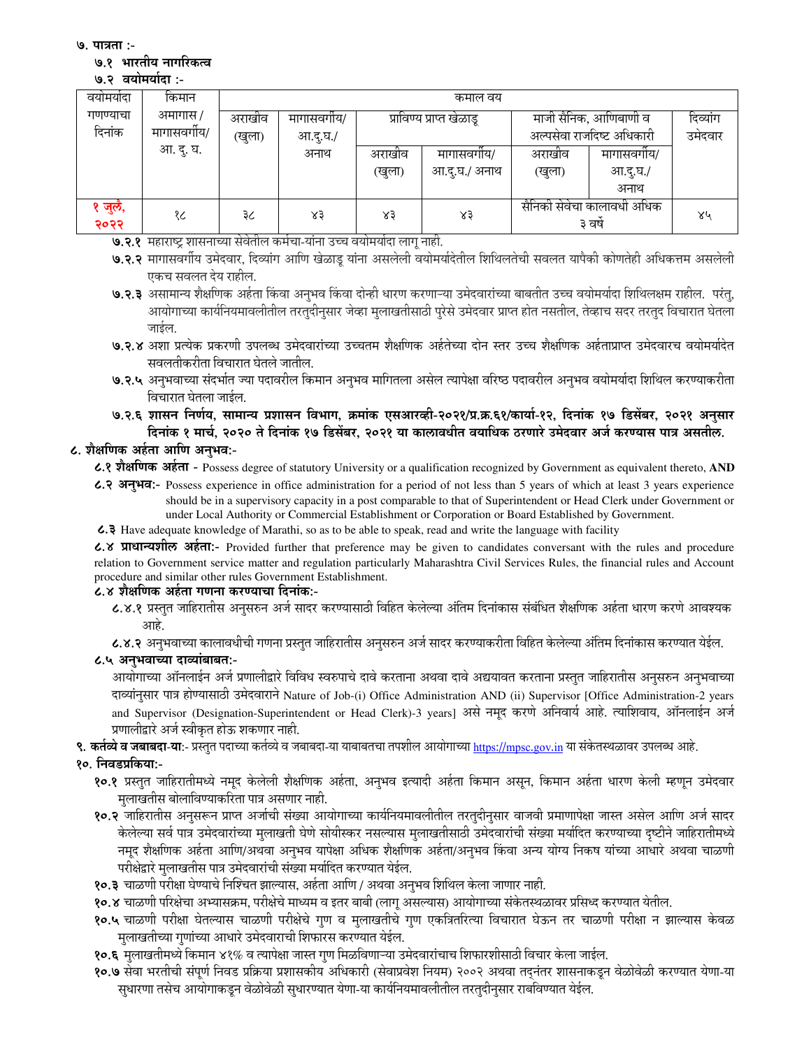#### ७.१ भारतीय नागरिकत्व

#### ७.२ वयोमर्यादा :-

| वयामयादा      | किमान        | कमाल वय              |          |                          |               |                                       |                           |    |  |
|---------------|--------------|----------------------|----------|--------------------------|---------------|---------------------------------------|---------------------------|----|--|
| गणण्याचा      | अमागास /     | अराखाव<br>मागासवगीय/ |          | प्राविण्य प्राप्त खेळाडू |               | माजी सैनिक, आणिबाणी व                 | दिव्यांग                  |    |  |
| दिनांक        | मागासवर्गीय/ | (खुला)               | आ.दू.घ./ |                          |               |                                       | अल्पसेवा राजदिष्ट अधिकारी |    |  |
|               | आ. दु. घ.    |                      | अनाथ     | अराखीव                   | मागासवगाय/    | अराखीव                                | मागासवगीय/                |    |  |
|               |              |                      |          | (खुला)                   | आ.दु.घ./ अनाथ | (खुला)                                | आ.दु.घ./                  |    |  |
|               |              |                      |          |                          |               |                                       | अनाथ                      |    |  |
| जुलै,<br>२०२२ | १८           | ३८                   | ४३       | $x_3$                    | ४३            | सैनिकी सेवेचा कालावधी अधिक<br>३ वर्षे |                           | ४५ |  |

७.२.१ महाराष्ट्र शासनाच्या सेवेतील कर्मचा-यांना उच्च वयोमर्यादा लाग नाही.

७.२.२ मागासवर्गीय उमेदवार, दिव्यांग आणि खेळाड यांना असलेली वयोमर्यादेतील शिथिलतेची सवलत यापैकी कोणतेही अधिकत्तम असलेली एकच सवलत देय राहील.

७.२.३ असामान्य शैक्षणिक अर्हता किंवा अनुभव किंवा दोन्ही धारण करणाऱ्या उमेदवारांच्या बाबतीत उच्च वयोमर्यादा शिथिलक्षम राहील. परंतु, आयोगाच्या कार्यनियमावलीतील तरतुदीनुसार जेव्हा मुलाखतीसाठी पूरेसे उमेदवार प्राप्त होत नसतील, तेव्हाच सदर तरतुद विचारात घेतला जाईल.

७.२.४ अशा प्रत्येक प्रकरणी उपलब्ध उमेदवारांच्या उच्चतम शैक्षणिक अर्हतेच्या दोन स्तर उच्च शैक्षणिक अर्हताप्राप्त उमेदवारच वयोमर्यादेत सवलतीकरीता विचारात घेतले जातील.

७.२.५ अनभवाच्या संदर्भात ज्या पदावरील किमान अनभव मागितला असेल त्यापेक्षा वरिष्ठ पदावरील अनभव वयोमर्यादा शिथिल करण्याकरीता विचारात घेतला जाईल.

७.२.६ शासन निर्णय, सामान्य प्रशासन विभाग, क्रमांक एसआरव्ही-२०२१/प्र.क्र.६१/कार्या-१२, दिनांक १७ डिसेंबर, २०२१ अनुसार दिनांक १ मार्च, २०२० ते दिनांक १७ डिसेंबर, २०२१ या कालावधीत वयाधिक ठरणारे उमेदवार अर्ज करण्यास पात्र असतील.

# ८. शैक्षणिक अर्हता आणि अनुभव:-

८.१ शैक्षणिक अर्हता - Possess degree of statutory University or a qualification recognized by Government as equivalent thereto, AND

८.२ अनुभव:- Possess experience in office administration for a period of not less than 5 years of which at least 3 years experience should be in a supervisory capacity in a post comparable to that of Superintendent or Head Clerk under Government or under Local Authority or Commercial Establishment or Corporation or Board Established by Government.

2.4 Have adequate knowledge of Marathi, so as to be able to speak, read and write the language with facility

८.४ प्राधान्यशील अर्हता:- Provided further that preference may be given to candidates conversant with the rules and procedure relation to Government service matter and regulation particularly Maharashtra Civil Services Rules, the financial rules and Account procedure and similar other rules Government Establishment.

### ८.४ शैक्षणिक अर्हता गणना करण्याचा दिनांक:-

८.४.१ प्रस्तत जाहिरातीस अनसरुन अर्ज सादर करण्यासाठी विहित केलेल्या अंतिम दिनांकास संबंधित शैक्षणिक अर्हता धारण करणे आवश्यक आहे.

८.४.२ अनुभवाच्या कालावधीची गणना प्रस्तुत जाहिरातीस अनुसरुन अर्ज सादर करण्याकरीता विहित केलेल्या अंतिम दिनांकास करण्यात येईल.

### ८.५ अनभवाच्या दाव्यांबाबतः-

आयोगाच्या ऑनलाईन अर्ज प्रणालीद्वारे विविध स्वरुपाचे दावे करताना अथवा दावे अद्ययावत करताना प्रस्तुत जाहिरातीस अनुसरुन अनुभवाच्या दाव्यांनुसार पात्र होण्यासाठी उमेदवाराने Nature of Job-(i) Office Administration AND (ii) Supervisor [Office Administration-2 years and Supervisor (Designation-Superintendent or Head Clerk)-3 years] असे नमुद करणे अनिवार्य आहे. त्याशिवाय, ऑनलाईन अर्ज प्रणालीद्वारे अर्ज स्वीकृत होऊ शकणार नाही.

९. कर्तव्ये व जबाबदा-या:- प्रस्तुत पदाच्या कर्तव्ये व जबाबदा-या याबाबतचा तपशील आयोगाच्या https://mpsc.gov.in या संकेतस्थळावर उपलब्ध आहे.

### १०. निवडप्रकिया:-

- १०.१ प्रस्तुत जाहिरातीमध्ये नमूद केलेली शैक्षणिक अर्हता, अनुभव इत्यादी अर्हता किमान असून, किमान अर्हता धारण केली म्हणून उमेदवार मुलाखतीस बोलाविण्याकरिता पात्र असणार नाही.
- १०.२ जाहिरातीस अनुसरून प्राप्त अर्जाची संख्या आयोगाच्या कार्यनियमावलीतील तरतुदीनुसार वाजवी प्रमाणापेक्षा जास्त असेल आणि अर्ज सादर .<br>केलेल्या सर्व पात्र उमेदवारांच्या मूलाखती घेणे सोयीस्कर नसल्यास मूलाखतीसाठी उमेदवारांची संख्या मर्यादित करण्याच्या दृष्टीने जाहिरातीमध्ये नमुद शैक्षणिक अर्हता आणि/अथवा अनुभव यापेक्षा अधिक शैक्षणिक अर्हता/अनुभव किंवा अन्य योग्य निकष यांच्या आधारे अथवा चाळणी परीक्षेद्वारे मुलाखतीस पात्र उमेदवारांची संख्या मर्यादित करण्यात येईल.
- १०.३ चाळणी परीक्षा घेण्याचे निश्चित झाल्यास, अर्हता आणि / अथवा अनुभव शिथिल केला जाणार नाही.

१०.४ चाळणी परिक्षेचा अभ्यासक्रम, परीक्षेचे माध्यम व इतर बाबी (लागू असल्यास) आयोगाच्या संकेतस्थळावर प्रसिध्द करण्यात येतील.

- १०.५ चाळणी परीक्षा घेतल्यास चाळणी परीक्षेचे गुण व मुलाखतीचे गुण एकत्रितरित्या विचारात घेऊन तर चाळणी परीक्षा न झाल्यास केवळ मुलाखतीच्या गुणांच्या आधारे उमेदवाराची शिफारस करण्यात येईल.
- १०.६ मुलाखतीमध्ये किमान ४१% व त्यापेक्षा जास्त गुण मिळविणाऱ्या उमेदवारांचाच शिफारशीसाठी विचार केला जाईल.
- १०.७ सेवा भरतीची संपर्ण निवड प्रक्रिया प्रशासकीय अधिकारी (सेवाप्रवेश नियम) २००२ अथवा तदनंतर शासनाकडून वेळोवेळी करण्यात येणा-या सुधारणा तसेच आयोगाकडून वेळोवेळी सुधारण्यात येणा-या कार्यनियमावलीतील तरतुदीनुसार राबविण्यात येईल.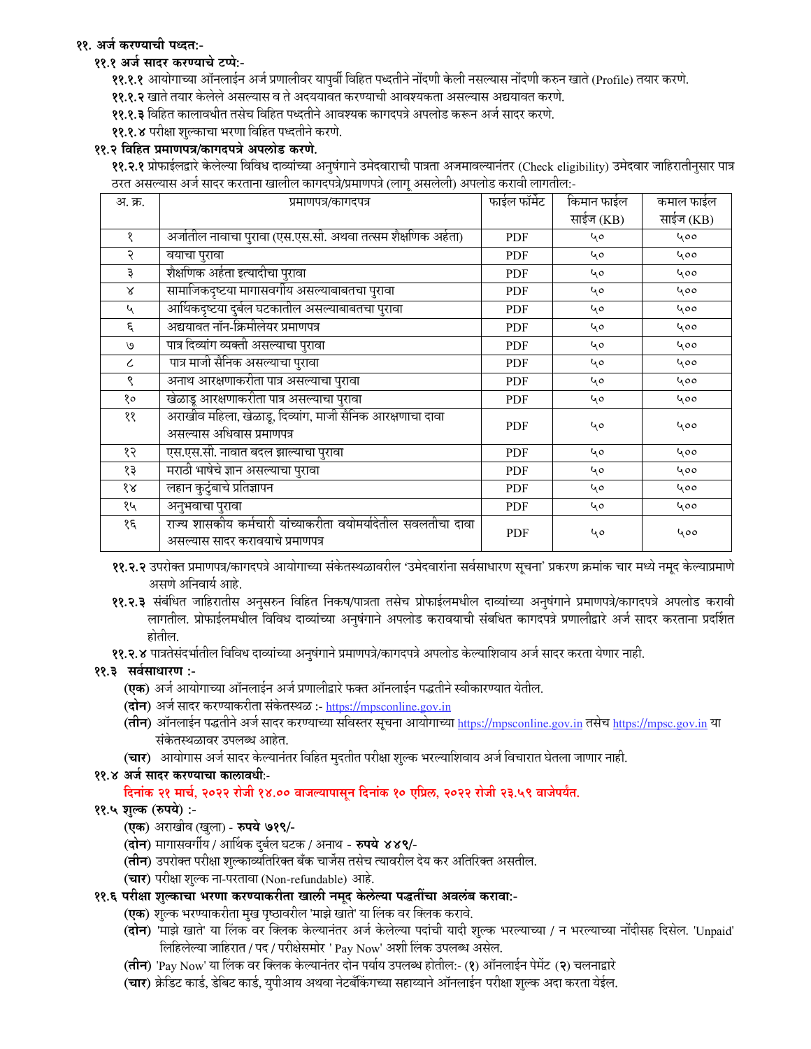## ११. अर्ज करण्याची पध्दत:-

### ११.१ अर्ज सादर करण्याचे टप्पे:-

११.१.१ आयोगाच्या ऑनलाईन अर्ज प्रणालीवर यापुर्वी विहित पध्दतीने नोंदणी केली नसल्यास नोंदणी करुन खाते (Profile) तयार करणे.

११.१.२ खाते तयार केलेले असल्यास व ते अदययावत करण्याची आवश्यकता असल्यास अद्ययावत करणे.

- ११.१.३ विहित कालावधीत तसेच विहित पध्दतीने आवश्यक कागदपत्रे अपलोड करून अर्ज सादर करणे.
- ११.१.४ परीक्षा शुल्काचा भरणा विहित पध्दतीने करणे.

### ११.२ विहित प्रमाणपत्र/कागदपत्रे अपलोड करणे.

११.२.१ प्रोफाईलद्वारे केलेल्या विविध दाव्यांच्या अनुषंगाने उमेदवाराची पात्रता अजमावल्यानंतर (Check eligibility) उमेदवार जाहिरातीनुसार पात्र ठरत असल्यास अर्ज सादर करताना खालील कागदपत्रे/प्रमाणपत्रे (लागू असलेली) अपलोड करावी लागतील:-

| अ. क्र.                     | प्रमाणपत्र/कागदपत्र                                                                               | फाईल फॉर्मेट | किमान फाईल | कमाल फाईल |
|-----------------------------|---------------------------------------------------------------------------------------------------|--------------|------------|-----------|
|                             |                                                                                                   |              | साईज (KB)  | साईज (KB) |
| १                           | अर्जातील नावाचा पुरावा (एस.एस.सी. अथवा तत्सम शैक्षणिक अर्हता)                                     | PDF          | 40         | 400       |
| २                           | वयाचा पुरावा                                                                                      | PDF          | 40         | 400       |
| ३                           | शैक्षणिक अर्हता इत्यादीचा पुरावा                                                                  | PDF          | 40         | 400       |
| $\mathsf{x}$                | सामाजिकदृष्टया मागासवर्गीय असल्याबाबतचा पुरावा                                                    | PDF          | 40         | 400       |
| $\mathcal{L}_{\mathcal{A}}$ | आर्थिकदृष्टया दुर्बल घटकातील असल्याबाबतचा पुरावा                                                  | PDF          | 40         | 400       |
| ٤                           | अद्ययावत नॉन-क्रिमीलेयर प्रमाणपत्र                                                                | <b>PDF</b>   | 40         | 400       |
| $\mathcal{O}$               | पात्र दिव्यांग व्यक्ती असल्याचा पुरावा                                                            | PDF          | 40         | 400       |
| $\epsilon$                  | पात्र माजी सैनिक असल्याचा पुरावा                                                                  | PDF          | 40         | 400       |
| ९                           | अनाथ आरक्षणाकरीता पात्र असल्याचा पुरावा                                                           | PDF          | 40         | 400       |
| १०                          | खेळाडू आरक्षणाकरीता पात्र असल्याचा पुरावा                                                         | PDF          | 40         | 400       |
| ११                          | अराखीव महिला, खेळाडू, दिव्यांग, माजी सैनिक आरक्षणाचा दावा<br>असल्यास अधिवास प्रमाणपत्र            | <b>PDF</b>   | 40         | 400       |
| १२                          | एस.एस.सी. नावात बदल झाल्याचा पुरावा                                                               | <b>PDF</b>   | 40         | 400       |
| १३                          | मराठी भाषेचे ज्ञान असल्याचा पुरावा                                                                | <b>PDF</b>   | 40         | 400       |
| १४                          | लहान कुटुंबाचे प्रतिज्ञापन                                                                        | PDF          | 40         | 400       |
| १५                          | अनुभवाचा पुरावा                                                                                   | PDF          | 40         | 400       |
| १६                          | राज्य शासकीय कर्मचारी यांच्याकरीता वयोमर्यादेतील सवलतीचा दावा<br>असल्यास सादर करावयाचे प्रमाणपत्र | <b>PDF</b>   | ५०         | ५००       |

११.२.२ उपरोक्त प्रमाणपत्र/कागदपत्रे आयोगाच्या संकेतस्थळावरील 'उमेदवारांना सर्वसाधारण सूचना' प्रकरण क्रमांक चार मध्ये नमूद केल्याप्रमाणे असणे अनिवार्य आहे.

- ११.२.३ संबंधित जाहिरातीस अनुसरुन विहित निकष/पात्रता तसेच प्रोफाईलमधील दाव्यांच्या अनुषंगाने प्रमाणपत्रे/कागदपत्रे अपलोड करावी लागतील. प्रोफाईलमधील विविध दाव्यांच्या अनुषंगाने अपलोड करावयाची संबधित कागदपत्रे प्रणालीद्वारे अर्ज सादर करताना प्रदर्शित
- ११.२.४ पात्रतेसंदर्भातील विविध दाव्यांच्या अनुषंगाने प्रमाणपत्रे/कागदपत्रे अपलोड केल्याशिवाय अर्ज सादर करता येणार नाही.

### ११.३ सर्वसाधारण :-

- **(एक)** अर्ज आयोगाच्या ऑनलाईन अर्ज प्रणालीद्वारे फक्त ऑनलाईन पद्धतीने स्वीकारण्यात येतील.
- (दोन) अर्ज सादर करण्याकरीता संकेतस्थळ :- https://mpsconline.gov.in
- (तीन) ऑनलाईन पद्धतीने अर्ज सादर करण्याच्या सविस्तर सूचना आयोगाच्या https://mpsconline.gov.in तसेच https://mpsc.gov.in या संकेतस्थळावर उपलब्ध आहेत.
- (चार) आयोगास अर्ज सादर केल्यानंतर विहित मुदतीत परीक्षा शुल्क भरल्याशिवाय अर्ज विचारात घेतला जाणार नाही.

## ११.४ अर्ज सादर करण्याचा कालावधीः-

## दिनांक २१ मार्च, २०२२ रोजी १४.०० वाजल्यापासून दिनांक १० एप्रिल, २०२२ रोजी २३.५९ वाजेपर्यंत.

## ११.५ शुल्क (रुपये) :-

- (एक) अराखीव (खुला) रुपये ७१९/-
- (**दोन**) मागासवर्गीय / आर्थिक दुर्बल घटक / अनाथ **रुपये ४४९/**-
- (**तीन**) उपरोक्त परीक्षा शुल्काव्यतिरिक्त बँक चार्जेस तसेच त्यावरील देय कर अतिरिक्त असतील.
- (चार) परीक्षा शुल्क ना-परतावा (Non-refundable) आहे.

## ११.६ परीक्षा शुल्काचा भरणा करण्याकरीता खाली नमूद केलेल्या पद्धतींचा अवलंब करावा:-

- (एक) शुल्क भरण्याकरीता मुख पृष्ठावरील 'माझे खाते' या लिंक वर क्लिक करावे.
- (**दोन**) 'माझे खाते' या लिंक वर क्लिक केल्यानंतर अर्ज केलेल्या पदांची यादी शुल्क भरल्याच्या / न भरल्याच्या नोंदीसह दिसेल. 'Unpaid' लिहिलेल्या जाहिरात / पद / परीक्षेसमोर ' Pay Now' अशी लिंक उपलब्ध असेल.
- (तीन) 'Pay Now' या लिंक वर क्लिक केल्यानंतर दोन पर्याय उपलब्ध होतील:- (१) ऑनलाईन पेमेंट (२) चलनाद्वारे
- (चार) क्रेडिट कार्ड, डेबिट कार्ड, युपीआय अथवा नेटर्बॅाकंगच्या सहाय्याने ऑनलाईन परीक्षा शुल्क अदा करता येईल.